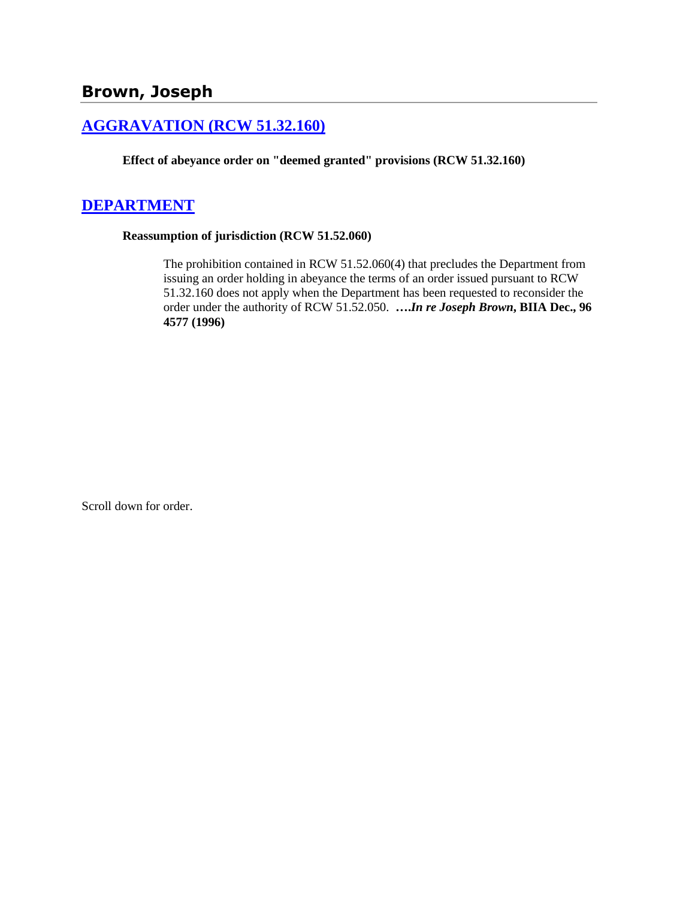## **[AGGRAVATION \(RCW 51.32.160\)](http://www.biia.wa.gov/SDSubjectIndex.html#AGGRAVATION)**

**Effect of abeyance order on "deemed granted" provisions (RCW 51.32.160)**

# **[DEPARTMENT](http://www.biia.wa.gov/SDSubjectIndex.html#DEPARTMENT)**

#### **Reassumption of jurisdiction (RCW 51.52.060)**

The prohibition contained in RCW 51.52.060(4) that precludes the Department from issuing an order holding in abeyance the terms of an order issued pursuant to RCW 51.32.160 does not apply when the Department has been requested to reconsider the order under the authority of RCW 51.52.050. **….***In re Joseph Brown***, BIIA Dec., 96 4577 (1996)** 

Scroll down for order.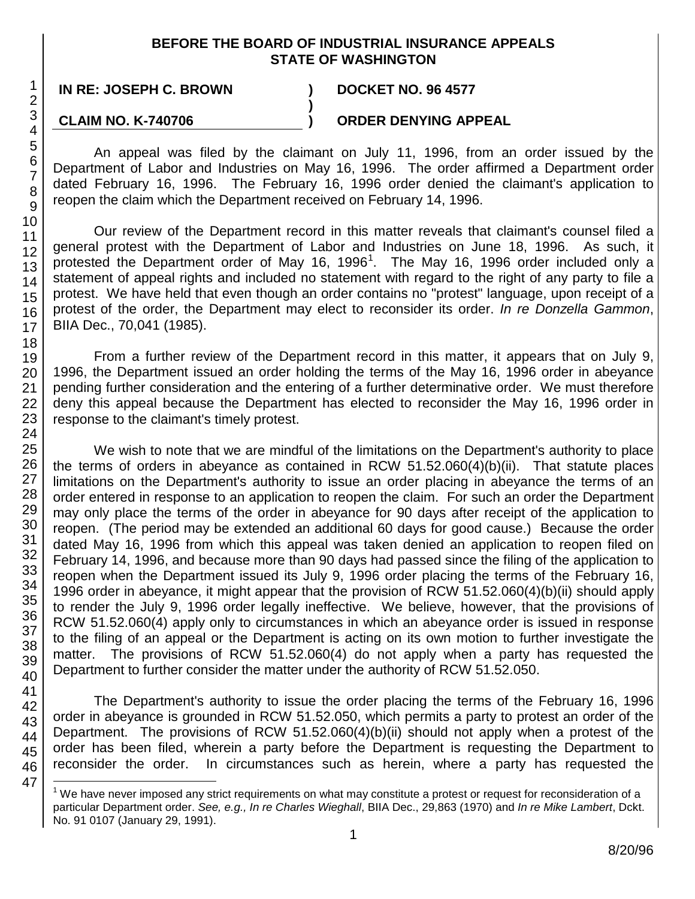## **BEFORE THE BOARD OF INDUSTRIAL INSURANCE APPEALS STATE OF WASHINGTON**

**)**

**IN RE: JOSEPH C. BROWN ) DOCKET NO. 96 4577**

## **CLAIM NO. K-740706**

**) ORDER DENYING APPEAL**

An appeal was filed by the claimant on July 11, 1996, from an order issued by the Department of Labor and Industries on May 16, 1996. The order affirmed a Department order dated February 16, 1996. The February 16, 1996 order denied the claimant's application to reopen the claim which the Department received on February 14, 1996.

Our review of the Department record in this matter reveals that claimant's counsel filed a general protest with the Department of Labor and Industries on June 18, 1996. As such, it protested the Department order of May [1](#page-1-0)6, 1996<sup>1</sup>. The May 16, 1996 order included only a statement of appeal rights and included no statement with regard to the right of any party to file a protest. We have held that even though an order contains no "protest" language, upon receipt of a protest of the order, the Department may elect to reconsider its order. *In re Donzella Gammon*, BIIA Dec., 70,041 (1985).

From a further review of the Department record in this matter, it appears that on July 9, 1996, the Department issued an order holding the terms of the May 16, 1996 order in abeyance pending further consideration and the entering of a further determinative order. We must therefore deny this appeal because the Department has elected to reconsider the May 16, 1996 order in response to the claimant's timely protest.

We wish to note that we are mindful of the limitations on the Department's authority to place the terms of orders in abeyance as contained in RCW 51.52.060(4)(b)(ii). That statute places limitations on the Department's authority to issue an order placing in abeyance the terms of an order entered in response to an application to reopen the claim. For such an order the Department may only place the terms of the order in abeyance for 90 days after receipt of the application to reopen. (The period may be extended an additional 60 days for good cause.) Because the order dated May 16, 1996 from which this appeal was taken denied an application to reopen filed on February 14, 1996, and because more than 90 days had passed since the filing of the application to reopen when the Department issued its July 9, 1996 order placing the terms of the February 16, 1996 order in abeyance, it might appear that the provision of RCW 51.52.060(4)(b)(ii) should apply to render the July 9, 1996 order legally ineffective. We believe, however, that the provisions of RCW 51.52.060(4) apply only to circumstances in which an abeyance order is issued in response to the filing of an appeal or the Department is acting on its own motion to further investigate the matter. The provisions of RCW 51.52.060(4) do not apply when a party has requested the Department to further consider the matter under the authority of RCW 51.52.050.

The Department's authority to issue the order placing the terms of the February 16, 1996 order in abeyance is grounded in RCW 51.52.050, which permits a party to protest an order of the Department. The provisions of RCW 51.52.060(4)(b)(ii) should not apply when a protest of the order has been filed, wherein a party before the Department is requesting the Department to reconsider the order. In circumstances such as herein, where a party has requested the

<span id="page-1-0"></span> $1$  We have never imposed any strict requirements on what may constitute a protest or request for reconsideration of a particular Department order. *See, e.g., In re Charles Wieghall*, BIIA Dec., 29,863 (1970) and *In re Mike Lambert*, Dckt. No. 91 0107 (January 29, 1991).